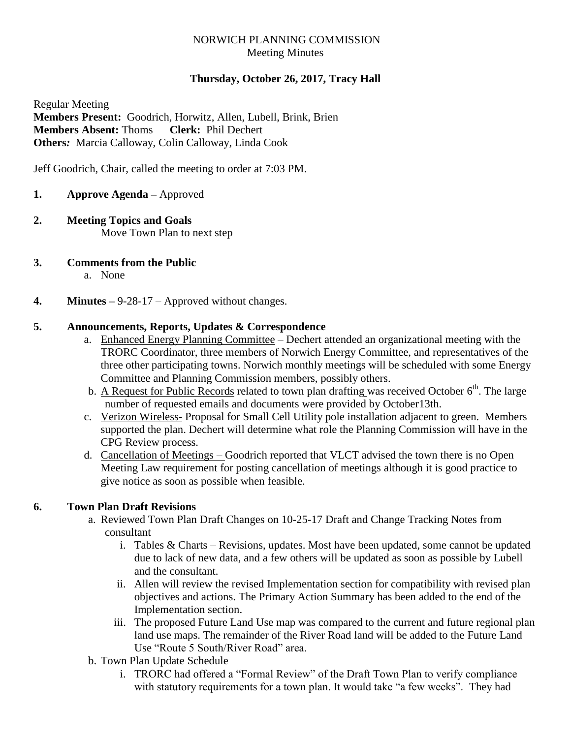## NORWICH PLANNING COMMISSION Meeting Minutes

# **Thursday, October 26, 2017, Tracy Hall**

Regular Meeting **Members Present:** Goodrich, Horwitz, Allen, Lubell, Brink, Brien **Members Absent:** Thoms **Clerk:** Phil Dechert **Others***:* Marcia Calloway, Colin Calloway, Linda Cook

Jeff Goodrich, Chair, called the meeting to order at 7:03 PM.

- **1. Approve Agenda –** Approved
- **2. Meeting Topics and Goals** Move Town Plan to next step
- **3. Comments from the Public**
	- a. None
- **4. Minutes –** 9-28-17 Approved without changes.

### **5. Announcements, Reports, Updates & Correspondence**

- a. Enhanced Energy Planning Committee Dechert attended an organizational meeting with the TRORC Coordinator, three members of Norwich Energy Committee, and representatives of the three other participating towns. Norwich monthly meetings will be scheduled with some Energy Committee and Planning Commission members, possibly others.
- b. A Request for Public Records related to town plan drafting was received October  $6<sup>th</sup>$ . The large number of requested emails and documents were provided by October13th.
- c. Verizon Wireless- Proposal for Small Cell Utility pole installation adjacent to green. Members supported the plan. Dechert will determine what role the Planning Commission will have in the CPG Review process.
- d. Cancellation of Meetings Goodrich reported that VLCT advised the town there is no Open Meeting Law requirement for posting cancellation of meetings although it is good practice to give notice as soon as possible when feasible.

## **6. Town Plan Draft Revisions**

- a. Reviewed Town Plan Draft Changes on 10-25-17 Draft and Change Tracking Notes from consultant
	- i. Tables & Charts Revisions, updates. Most have been updated, some cannot be updated due to lack of new data, and a few others will be updated as soon as possible by Lubell and the consultant.
	- ii. Allen will review the revised Implementation section for compatibility with revised plan objectives and actions. The Primary Action Summary has been added to the end of the Implementation section.
	- iii. The proposed Future Land Use map was compared to the current and future regional plan land use maps. The remainder of the River Road land will be added to the Future Land Use "Route 5 South/River Road" area.
- b. Town Plan Update Schedule
	- i. TRORC had offered a "Formal Review" of the Draft Town Plan to verify compliance with statutory requirements for a town plan. It would take "a few weeks". They had